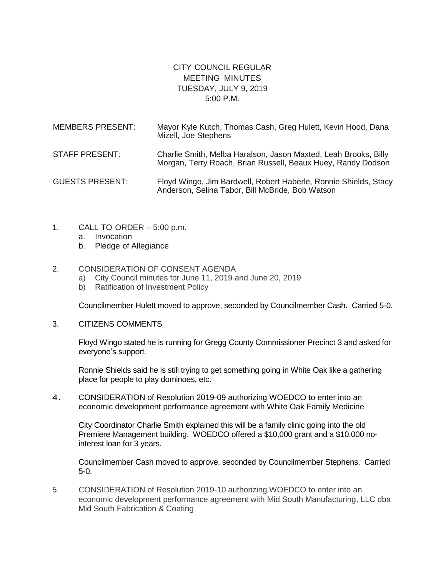## CITY COUNCIL REGULAR MEETING MINUTES TUESDAY, JULY 9, 2019 5:00 P.M.

| <b>MEMBERS PRESENT:</b> | Mayor Kyle Kutch, Thomas Cash, Greg Hulett, Kevin Hood, Dana<br>Mizell, Joe Stephens                                            |
|-------------------------|---------------------------------------------------------------------------------------------------------------------------------|
| <b>STAFF PRESENT:</b>   | Charlie Smith, Melba Haralson, Jason Maxted, Leah Brooks, Billy<br>Morgan, Terry Roach, Brian Russell, Beaux Huey, Randy Dodson |
| <b>GUESTS PRESENT:</b>  | Floyd Wingo, Jim Bardwell, Robert Haberle, Ronnie Shields, Stacy<br>Anderson, Selina Tabor, Bill McBride, Bob Watson            |

- 1. CALL TO ORDER 5:00 p.m.
	- a. Invocation
	- b. Pledge of Allegiance

## 2. CONSIDERATION OF CONSENT AGENDA

- a) City Council minutes for June 11, 2019 and June 20, 2019
- b) Ratification of Investment Policy

Councilmember Hulett moved to approve, seconded by Councilmember Cash. Carried 5-0.

3. CITIZENS COMMENTS

Floyd Wingo stated he is running for Gregg County Commissioner Precinct 3 and asked for everyone's support.

Ronnie Shields said he is still trying to get something going in White Oak like a gathering place for people to play dominoes, etc.

4. CONSIDERATION of Resolution 2019-09 authorizing WOEDCO to enter into an economic development performance agreement with White Oak Family Medicine

City Coordinator Charlie Smith explained this will be a family clinic going into the old Premiere Management building. WOEDCO offered a \$10,000 grant and a \$10,000 nointerest loan for 3 years.

Councilmember Cash moved to approve, seconded by Councilmember Stephens. Carried 5-0.

5. CONSIDERATION of Resolution 2019-10 authorizing WOEDCO to enter into an economic development performance agreement with Mid South Manufacturing, LLC dba Mid South Fabrication & Coating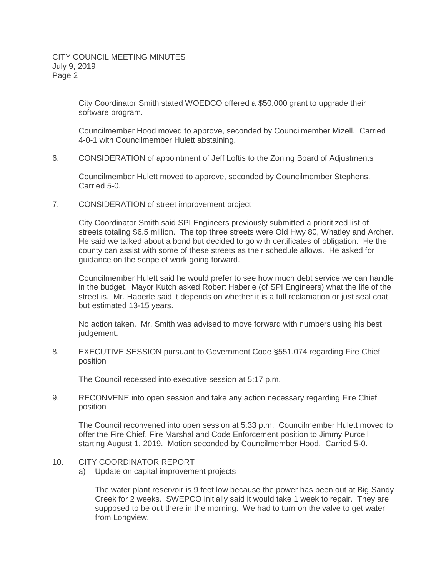City Coordinator Smith stated WOEDCO offered a \$50,000 grant to upgrade their software program.

Councilmember Hood moved to approve, seconded by Councilmember Mizell. Carried 4-0-1 with Councilmember Hulett abstaining.

6. CONSIDERATION of appointment of Jeff Loftis to the Zoning Board of Adjustments

Councilmember Hulett moved to approve, seconded by Councilmember Stephens. Carried 5-0.

7. CONSIDERATION of street improvement project

City Coordinator Smith said SPI Engineers previously submitted a prioritized list of streets totaling \$6.5 million. The top three streets were Old Hwy 80, Whatley and Archer. He said we talked about a bond but decided to go with certificates of obligation. He the county can assist with some of these streets as their schedule allows. He asked for guidance on the scope of work going forward.

Councilmember Hulett said he would prefer to see how much debt service we can handle in the budget. Mayor Kutch asked Robert Haberle (of SPI Engineers) what the life of the street is. Mr. Haberle said it depends on whether it is a full reclamation or just seal coat but estimated 13-15 years.

No action taken. Mr. Smith was advised to move forward with numbers using his best judgement.

8. EXECUTIVE SESSION pursuant to Government Code §551.074 regarding Fire Chief position

The Council recessed into executive session at 5:17 p.m.

9. RECONVENE into open session and take any action necessary regarding Fire Chief position

The Council reconvened into open session at 5:33 p.m. Councilmember Hulett moved to offer the Fire Chief, Fire Marshal and Code Enforcement position to Jimmy Purcell starting August 1, 2019. Motion seconded by Councilmember Hood. Carried 5-0.

- 10. CITY COORDINATOR REPORT
	- a) Update on capital improvement projects

The water plant reservoir is 9 feet low because the power has been out at Big Sandy Creek for 2 weeks. SWEPCO initially said it would take 1 week to repair. They are supposed to be out there in the morning. We had to turn on the valve to get water from Longview.